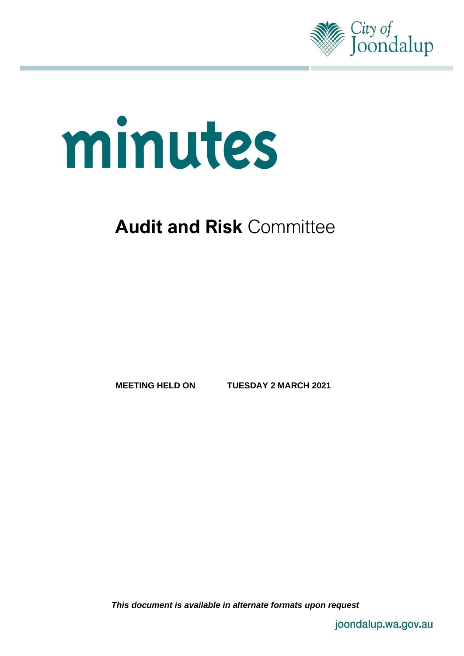

# minutes

# **Audit and Risk** Committee

**MEETING HELD ON TUESDAY 2 MARCH 2021**

*This document is available in alternate formats upon request*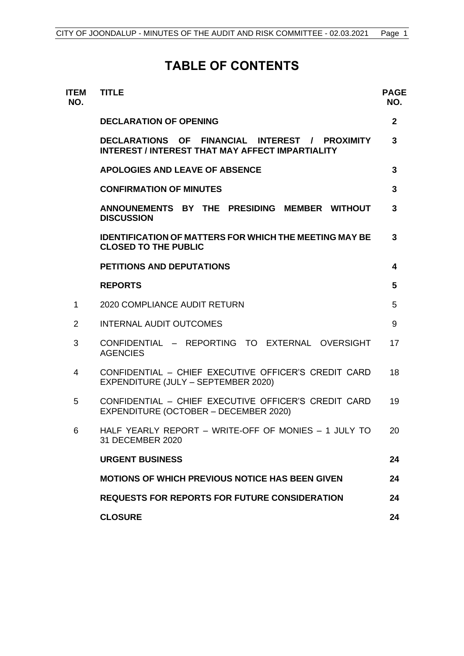# **TABLE OF CONTENTS**

| <b>ITEM</b><br>NO. | <b>TITLE</b>                                                                                              | <b>PAGE</b><br>NO. |
|--------------------|-----------------------------------------------------------------------------------------------------------|--------------------|
|                    | <b>DECLARATION OF OPENING</b>                                                                             | $\mathbf{2}$       |
|                    | DECLARATIONS OF FINANCIAL INTEREST / PROXIMITY<br><b>INTEREST / INTEREST THAT MAY AFFECT IMPARTIALITY</b> | 3                  |
|                    | <b>APOLOGIES AND LEAVE OF ABSENCE</b>                                                                     | 3                  |
|                    | <b>CONFIRMATION OF MINUTES</b>                                                                            | 3                  |
|                    | ANNOUNEMENTS BY THE PRESIDING<br><b>MEMBER WITHOUT</b><br><b>DISCUSSION</b>                               | 3                  |
|                    | <b>IDENTIFICATION OF MATTERS FOR WHICH THE MEETING MAY BE</b><br><b>CLOSED TO THE PUBLIC</b>              | 3                  |
|                    | <b>PETITIONS AND DEPUTATIONS</b>                                                                          | 4                  |
|                    | <b>REPORTS</b>                                                                                            | 5                  |
| 1                  | <b>2020 COMPLIANCE AUDIT RETURN</b>                                                                       | 5                  |
| $\overline{2}$     | <b>INTERNAL AUDIT OUTCOMES</b>                                                                            | 9                  |
| 3                  | CONFIDENTIAL - REPORTING TO EXTERNAL OVERSIGHT<br><b>AGENCIES</b>                                         | 17                 |
| 4                  | CONFIDENTIAL - CHIEF EXECUTIVE OFFICER'S CREDIT CARD<br>EXPENDITURE (JULY - SEPTEMBER 2020)               | 18                 |
| 5                  | CONFIDENTIAL - CHIEF EXECUTIVE OFFICER'S CREDIT CARD<br>EXPENDITURE (OCTOBER – DECEMBER 2020)             | 19                 |
| 6                  | HALF YEARLY REPORT - WRITE-OFF OF MONIES - 1 JULY TO<br>31 DECEMBER 2020                                  | 20                 |
|                    | <b>URGENT BUSINESS</b>                                                                                    | 24                 |
|                    | <b>MOTIONS OF WHICH PREVIOUS NOTICE HAS BEEN GIVEN</b>                                                    | 24                 |
|                    | <b>REQUESTS FOR REPORTS FOR FUTURE CONSIDERATION</b>                                                      | 24                 |
|                    | <b>CLOSURE</b>                                                                                            | 24                 |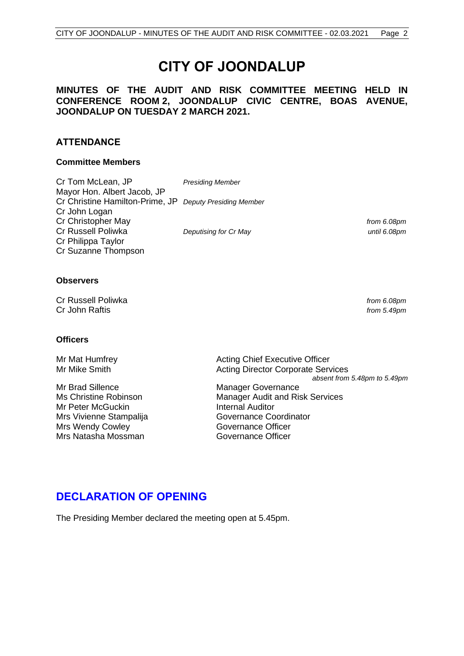# **CITY OF JOONDALUP**

## **MINUTES OF THE AUDIT AND RISK COMMITTEE MEETING HELD IN CONFERENCE ROOM 2, JOONDALUP CIVIC CENTRE, BOAS AVENUE, JOONDALUP ON TUESDAY 2 MARCH 2021.**

## **ATTENDANCE**

#### **Committee Members**

Cr Tom McLean, JP *Presiding Member* Mayor Hon. Albert Jacob, JP Cr Christine Hamilton-Prime, JP *Deputy Presiding Member* Cr John Logan Cr Christopher May *from 6.08pm* Cr Russell Poliwka *Deputising for Cr May until 6.08pm* Cr Philippa Taylor Cr Suzanne Thompson

#### **Observers**

Cr Russell Poliwka *from 6.08pm* Cr John Raftis *from 5.49pm*

#### **Officers**

Mr Brad Sillence Manager Governance Mr Peter McGuckin **Internal Auditor** Mrs Vivienne Stampalija Governance Coordinator Mrs Wendy Cowley **Governance Officer** Mrs Natasha Mossman Governance Officer

Mr Mat Humfrey **Acting Chief Executive Officer** Acting Chief Executive Officer Mr Mike Smith **Acting Director Corporate Services** *absent from 5.48pm to 5.49pm*

Ms Christine Robinson Manager Audit and Risk Services

# <span id="page-2-0"></span>**DECLARATION OF OPENING**

The Presiding Member declared the meeting open at 5.45pm.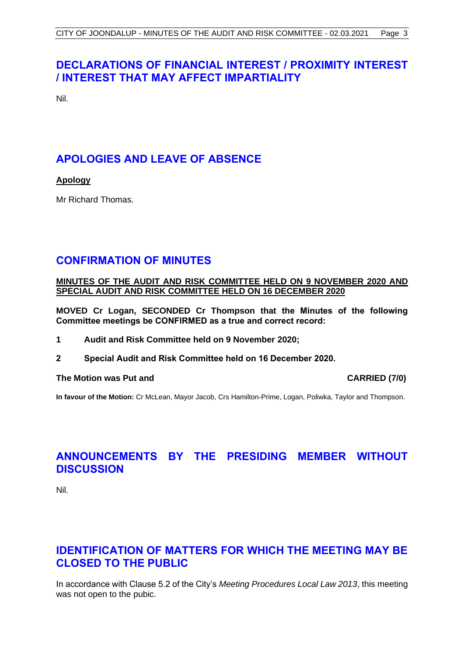# <span id="page-3-0"></span>**DECLARATIONS OF FINANCIAL INTEREST / PROXIMITY INTEREST / INTEREST THAT MAY AFFECT IMPARTIALITY**

Nil.

# <span id="page-3-1"></span>**APOLOGIES AND LEAVE OF ABSENCE**

## **Apology**

Mr Richard Thomas.

## <span id="page-3-2"></span>**CONFIRMATION OF MINUTES**

#### **MINUTES OF THE AUDIT AND RISK COMMITTEE HELD ON 9 NOVEMBER 2020 AND SPECIAL AUDIT AND RISK COMMITTEE HELD ON 16 DECEMBER 2020**

**MOVED Cr Logan, SECONDED Cr Thompson that the Minutes of the following Committee meetings be CONFIRMED as a true and correct record:**

- **1 Audit and Risk Committee held on 9 November 2020;**
- **2 Special Audit and Risk Committee held on 16 December 2020.**

#### **The Motion was Put and CARRIED (7/0)**

**In favour of the Motion:** Cr McLean, Mayor Jacob, Crs Hamilton-Prime, Logan, Poliwka, Taylor and Thompson.

# <span id="page-3-3"></span>**ANNOUNCEMENTS BY THE PRESIDING MEMBER WITHOUT DISCUSSION**

Nil.

# <span id="page-3-4"></span>**IDENTIFICATION OF MATTERS FOR WHICH THE MEETING MAY BE CLOSED TO THE PUBLIC**

In accordance with Clause 5.2 of the City's *Meeting Procedures Local Law 2013*, this meeting was not open to the pubic.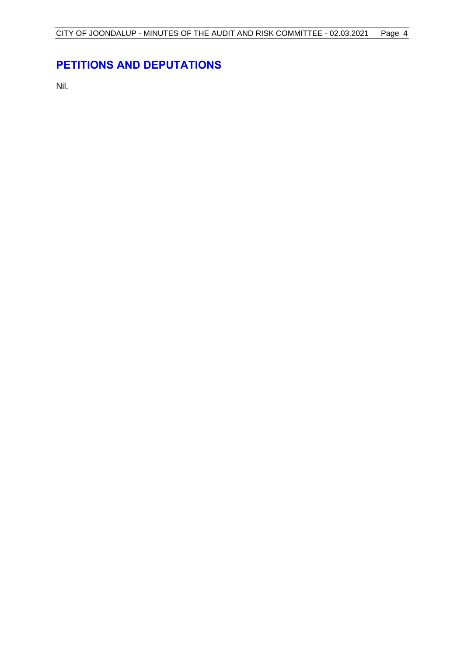# <span id="page-4-0"></span>**PETITIONS AND DEPUTATIONS**

Nil.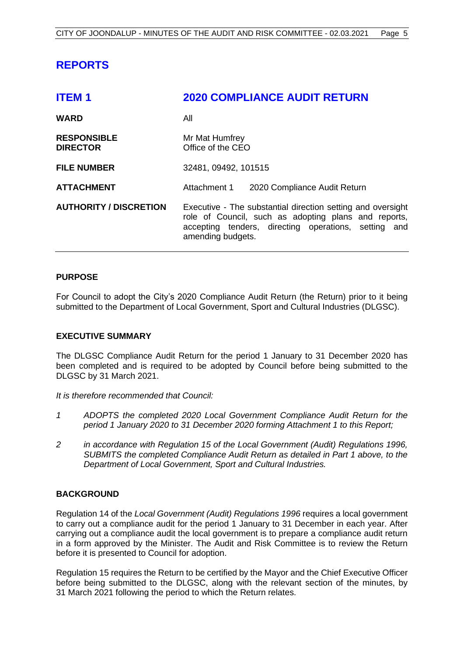# <span id="page-5-0"></span>**REPORTS**

<span id="page-5-1"></span>

| <b>ITEM1</b>                          | <b>2020 COMPLIANCE AUDIT RETURN</b>                                                                                                                                                              |  |  |
|---------------------------------------|--------------------------------------------------------------------------------------------------------------------------------------------------------------------------------------------------|--|--|
| <b>WARD</b>                           | All                                                                                                                                                                                              |  |  |
| <b>RESPONSIBLE</b><br><b>DIRECTOR</b> | Mr Mat Humfrey<br>Office of the CEO                                                                                                                                                              |  |  |
| <b>FILE NUMBER</b>                    | 32481, 09492, 101515                                                                                                                                                                             |  |  |
| <b>ATTACHMENT</b>                     | Attachment 1<br>2020 Compliance Audit Return                                                                                                                                                     |  |  |
| <b>AUTHORITY / DISCRETION</b>         | Executive - The substantial direction setting and oversight<br>role of Council, such as adopting plans and reports,<br>accepting tenders, directing operations, setting and<br>amending budgets. |  |  |

#### **PURPOSE**

For Council to adopt the City's 2020 Compliance Audit Return (the Return) prior to it being submitted to the Department of Local Government, Sport and Cultural Industries (DLGSC).

#### **EXECUTIVE SUMMARY**

The DLGSC Compliance Audit Return for the period 1 January to 31 December 2020 has been completed and is required to be adopted by Council before being submitted to the DLGSC by 31 March 2021.

*It is therefore recommended that Council:*

- *1 ADOPTS the completed 2020 Local Government Compliance Audit Return for the period 1 January 2020 to 31 December 2020 forming Attachment 1 to this Report;*
- *2 in accordance with Regulation 15 of the Local Government (Audit) Regulations 1996, SUBMITS the completed Compliance Audit Return as detailed in Part 1 above, to the Department of Local Government, Sport and Cultural Industries.*

#### **BACKGROUND**

Regulation 14 of the *Local Government (Audit) Regulations 1996* requires a local government to carry out a compliance audit for the period 1 January to 31 December in each year. After carrying out a compliance audit the local government is to prepare a compliance audit return in a form approved by the Minister. The Audit and Risk Committee is to review the Return before it is presented to Council for adoption.

Regulation 15 requires the Return to be certified by the Mayor and the Chief Executive Officer before being submitted to the DLGSC, along with the relevant section of the minutes, by 31 March 2021 following the period to which the Return relates.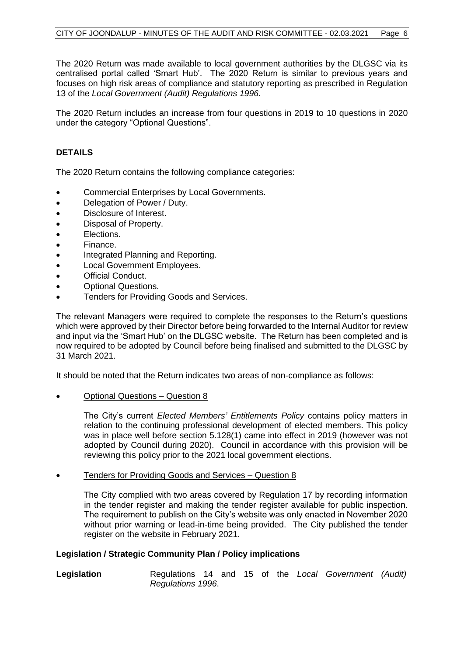The 2020 Return was made available to local government authorities by the DLGSC via its centralised portal called 'Smart Hub'. The 2020 Return is similar to previous years and focuses on high risk areas of compliance and statutory reporting as prescribed in Regulation 13 of the *Local Government (Audit) Regulations 1996.*

The 2020 Return includes an increase from four questions in 2019 to 10 questions in 2020 under the category "Optional Questions".

### **DETAILS**

The 2020 Return contains the following compliance categories:

- Commercial Enterprises by Local Governments.
- Delegation of Power / Duty.
- Disclosure of Interest.
- Disposal of Property.
- Elections.
- Finance.
- Integrated Planning and Reporting.
- Local Government Employees.
- Official Conduct.
- Optional Questions.
- Tenders for Providing Goods and Services.

The relevant Managers were required to complete the responses to the Return's questions which were approved by their Director before being forwarded to the Internal Auditor for review and input via the 'Smart Hub' on the DLGSC website. The Return has been completed and is now required to be adopted by Council before being finalised and submitted to the DLGSC by 31 March 2021.

It should be noted that the Return indicates two areas of non-compliance as follows:

• Optional Questions – Question 8

The City's current *Elected Members' Entitlements Policy* contains policy matters in relation to the continuing professional development of elected members. This policy was in place well before section 5.128(1) came into effect in 2019 (however was not adopted by Council during 2020). Council in accordance with this provision will be reviewing this policy prior to the 2021 local government elections.

• Tenders for Providing Goods and Services – Question 8

The City complied with two areas covered by Regulation 17 by recording information in the tender register and making the tender register available for public inspection. The requirement to publish on the City's website was only enacted in November 2020 without prior warning or lead-in-time being provided. The City published the tender register on the website in February 2021.

#### **Legislation / Strategic Community Plan / Policy implications**

**Legislation** Regulations 14 and 15 of the *Local Government (Audit) Regulations 1996*.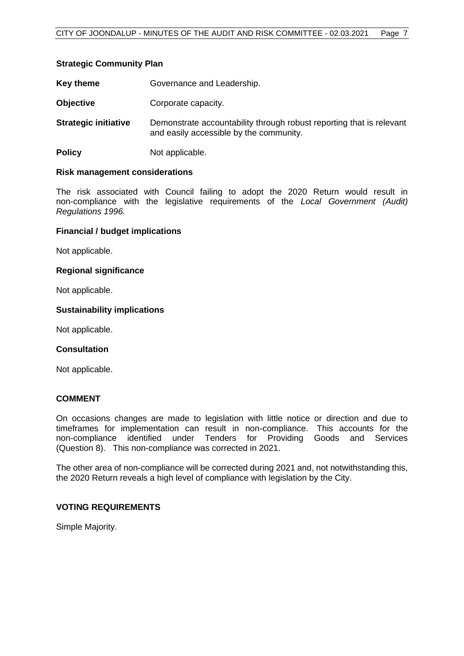#### **Strategic Community Plan**

| Key theme | Governance and Leadership. |
|-----------|----------------------------|
|-----------|----------------------------|

- **Objective Corporate capacity.**
- **Strategic initiative** Demonstrate accountability through robust reporting that is relevant and easily accessible by the community.
- **Policy** Not applicable.

#### **Risk management considerations**

The risk associated with Council failing to adopt the 2020 Return would result in non-compliance with the legislative requirements of the *Local Government (Audit) Regulations 1996.*

#### **Financial / budget implications**

Not applicable.

#### **Regional significance**

Not applicable.

#### **Sustainability implications**

Not applicable.

#### **Consultation**

Not applicable.

#### **COMMENT**

On occasions changes are made to legislation with little notice or direction and due to timeframes for implementation can result in non-compliance. This accounts for the non-compliance identified under Tenders for Providing Goods and Services (Question 8). This non-compliance was corrected in 2021.

The other area of non-compliance will be corrected during 2021 and, not notwithstanding this, the 2020 Return reveals a high level of compliance with legislation by the City.

#### **VOTING REQUIREMENTS**

Simple Majority.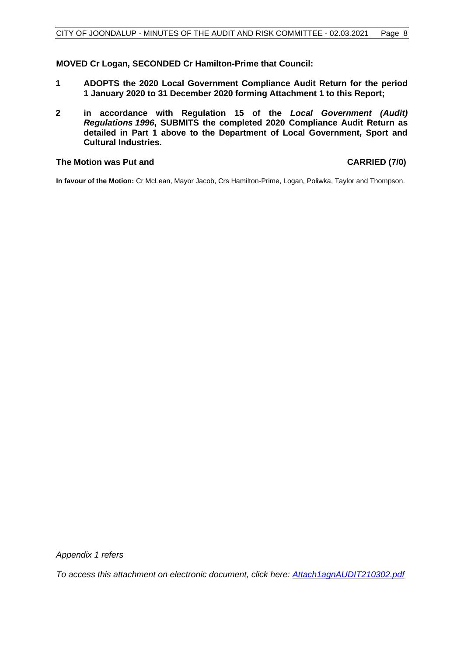#### **MOVED Cr Logan, SECONDED Cr Hamilton-Prime that Council:**

- **1 ADOPTS the 2020 Local Government Compliance Audit Return for the period 1 January 2020 to 31 December 2020 forming Attachment 1 to this Report;**
- **2 in accordance with Regulation 15 of the** *Local Government (Audit) Regulations 1996***, SUBMITS the completed 2020 Compliance Audit Return as detailed in Part 1 above to the Department of Local Government, Sport and Cultural Industries.**

#### **The Motion was Put and CARRIED (7/0)**

**In favour of the Motion:** Cr McLean, Mayor Jacob, Crs Hamilton-Prime, Logan, Poliwka, Taylor and Thompson.

*Appendix 1 refers*

*To access this attachment on electronic document, click her[e: Attach1agnAUDIT210302.pdf](http://www.joondalup.wa.gov.au/files/committees/AURI/2021/Attach1agnAUDIT210302.pdf)*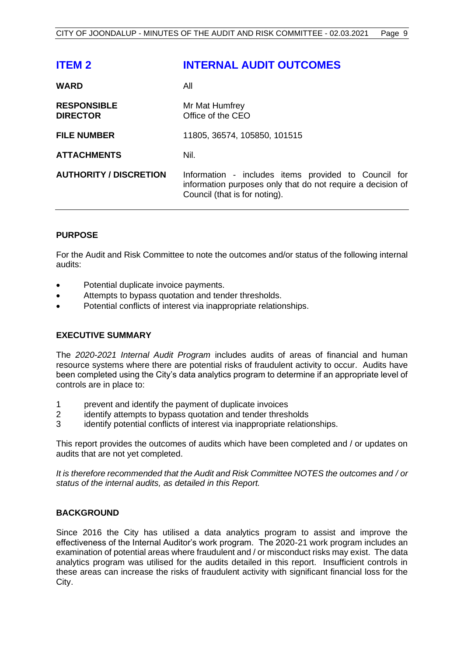<span id="page-9-0"></span>

| <b>INTERNAL AUDIT OUTCOMES</b>                                                                                                                       |
|------------------------------------------------------------------------------------------------------------------------------------------------------|
| All                                                                                                                                                  |
| Mr Mat Humfrey<br>Office of the CEO                                                                                                                  |
| 11805, 36574, 105850, 101515                                                                                                                         |
| Nil.                                                                                                                                                 |
| Information - includes items provided to Council for<br>information purposes only that do not require a decision of<br>Council (that is for noting). |
|                                                                                                                                                      |

#### **PURPOSE**

For the Audit and Risk Committee to note the outcomes and/or status of the following internal audits:

- Potential duplicate invoice payments.
- Attempts to bypass quotation and tender thresholds.
- Potential conflicts of interest via inappropriate relationships.

#### **EXECUTIVE SUMMARY**

The *2020-2021 Internal Audit Program* includes audits of areas of financial and human resource systems where there are potential risks of fraudulent activity to occur. Audits have been completed using the City's data analytics program to determine if an appropriate level of controls are in place to:

- 1 prevent and identify the payment of duplicate invoices
- 2 identify attempts to bypass quotation and tender thresholds
- 3 identify potential conflicts of interest via inappropriate relationships.

This report provides the outcomes of audits which have been completed and / or updates on audits that are not yet completed.

*It is therefore recommended that the Audit and Risk Committee NOTES the outcomes and / or status of the internal audits, as detailed in this Report.*

#### **BACKGROUND**

Since 2016 the City has utilised a data analytics program to assist and improve the effectiveness of the Internal Auditor's work program. The 2020-21 work program includes an examination of potential areas where fraudulent and / or misconduct risks may exist. The data analytics program was utilised for the audits detailed in this report. Insufficient controls in these areas can increase the risks of fraudulent activity with significant financial loss for the City.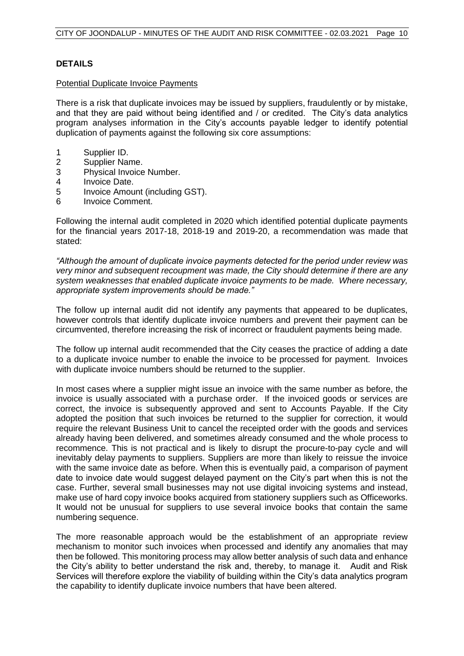#### **DETAILS**

#### Potential Duplicate Invoice Payments

There is a risk that duplicate invoices may be issued by suppliers, fraudulently or by mistake, and that they are paid without being identified and / or credited. The City's data analytics program analyses information in the City's accounts payable ledger to identify potential duplication of payments against the following six core assumptions:

- 1 Supplier ID.
- 2 Supplier Name.
- 3 Physical Invoice Number.
- 4 Invoice Date.
- 5 Invoice Amount (including GST).
- 6 Invoice Comment.

Following the internal audit completed in 2020 which identified potential duplicate payments for the financial years 2017-18, 2018-19 and 2019-20, a recommendation was made that stated:

*"Although the amount of duplicate invoice payments detected for the period under review was very minor and subsequent recoupment was made, the City should determine if there are any system weaknesses that enabled duplicate invoice payments to be made. Where necessary, appropriate system improvements should be made."* 

The follow up internal audit did not identify any payments that appeared to be duplicates, however controls that identify duplicate invoice numbers and prevent their payment can be circumvented, therefore increasing the risk of incorrect or fraudulent payments being made.

The follow up internal audit recommended that the City ceases the practice of adding a date to a duplicate invoice number to enable the invoice to be processed for payment. Invoices with duplicate invoice numbers should be returned to the supplier.

In most cases where a supplier might issue an invoice with the same number as before, the invoice is usually associated with a purchase order. If the invoiced goods or services are correct, the invoice is subsequently approved and sent to Accounts Payable. If the City adopted the position that such invoices be returned to the supplier for correction, it would require the relevant Business Unit to cancel the receipted order with the goods and services already having been delivered, and sometimes already consumed and the whole process to recommence. This is not practical and is likely to disrupt the procure-to-pay cycle and will inevitably delay payments to suppliers. Suppliers are more than likely to reissue the invoice with the same invoice date as before. When this is eventually paid, a comparison of payment date to invoice date would suggest delayed payment on the City's part when this is not the case. Further, several small businesses may not use digital invoicing systems and instead, make use of hard copy invoice books acquired from stationery suppliers such as Officeworks. It would not be unusual for suppliers to use several invoice books that contain the same numbering sequence.

The more reasonable approach would be the establishment of an appropriate review mechanism to monitor such invoices when processed and identify any anomalies that may then be followed. This monitoring process may allow better analysis of such data and enhance the City's ability to better understand the risk and, thereby, to manage it. Audit and Risk Services will therefore explore the viability of building within the City's data analytics program the capability to identify duplicate invoice numbers that have been altered.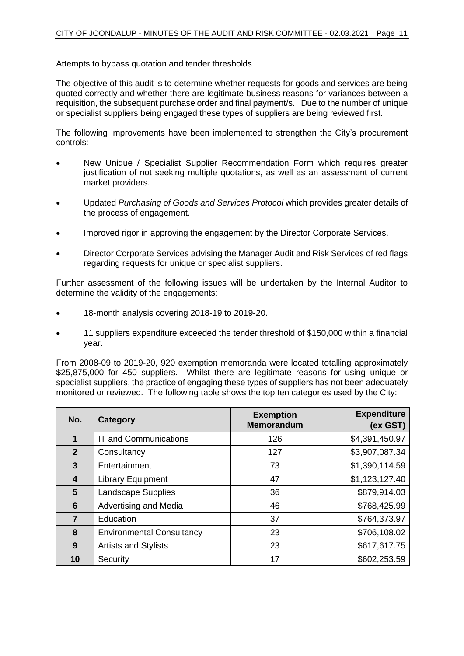#### Attempts to bypass quotation and tender thresholds

The objective of this audit is to determine whether requests for goods and services are being quoted correctly and whether there are legitimate business reasons for variances between a requisition, the subsequent purchase order and final payment/s. Due to the number of unique or specialist suppliers being engaged these types of suppliers are being reviewed first.

The following improvements have been implemented to strengthen the City's procurement controls:

- New Unique / Specialist Supplier Recommendation Form which requires greater justification of not seeking multiple quotations, as well as an assessment of current market providers.
- Updated *Purchasing of Goods and Services Protocol* which provides greater details of the process of engagement.
- Improved rigor in approving the engagement by the Director Corporate Services.
- Director Corporate Services advising the Manager Audit and Risk Services of red flags regarding requests for unique or specialist suppliers.

Further assessment of the following issues will be undertaken by the Internal Auditor to determine the validity of the engagements:

- 18-month analysis covering 2018-19 to 2019-20.
- 11 suppliers expenditure exceeded the tender threshold of \$150,000 within a financial year.

From 2008-09 to 2019-20, 920 exemption memoranda were located totalling approximately \$25,875,000 for 450 suppliers. Whilst there are legitimate reasons for using unique or specialist suppliers, the practice of engaging these types of suppliers has not been adequately monitored or reviewed. The following table shows the top ten categories used by the City:

| No.            | Category                         | <b>Exemption</b><br><b>Memorandum</b> | <b>Expenditure</b><br>(ex GST) |
|----------------|----------------------------------|---------------------------------------|--------------------------------|
|                | <b>IT and Communications</b>     | 126                                   | \$4,391,450.97                 |
| $\overline{2}$ | Consultancy                      | 127                                   | \$3,907,087.34                 |
| $\mathbf{3}$   | Entertainment                    | 73                                    | \$1,390,114.59                 |
| 4              | <b>Library Equipment</b>         | 47                                    | \$1,123,127.40                 |
| 5              | <b>Landscape Supplies</b>        | 36                                    | \$879,914.03                   |
| 6              | Advertising and Media            | 46                                    | \$768,425.99                   |
| 7              | Education                        | 37                                    | \$764,373.97                   |
| 8              | <b>Environmental Consultancy</b> | 23                                    | \$706,108.02                   |
| 9              | <b>Artists and Stylists</b>      | 23                                    | \$617,617.75                   |
| 10             | Security                         | 17                                    | \$602,253.59                   |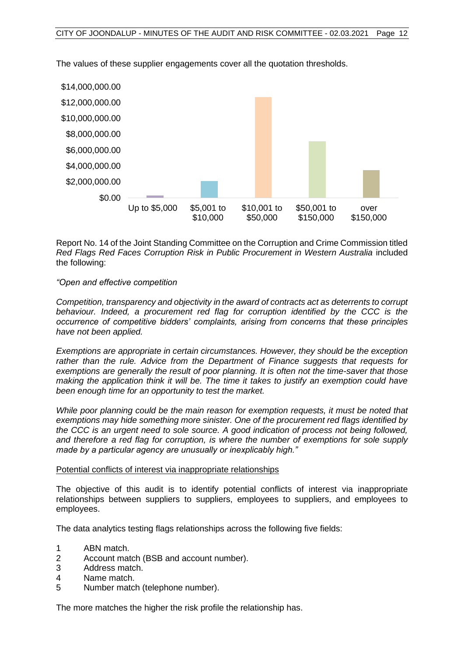

The values of these supplier engagements cover all the quotation thresholds.

Report No. 14 of the Joint Standing Committee on the Corruption and Crime Commission titled **Red Flags Red Faces Corruption Risk in Public Procurement in Western Australia included** the following:

#### *"Open and effective competition*

*Competition, transparency and objectivity in the award of contracts act as deterrents to corrupt behaviour. Indeed, a procurement red flag for corruption identified by the CCC is the occurrence of competitive bidders' complaints, arising from concerns that these principles have not been applied.*

*Exemptions are appropriate in certain circumstances. However, they should be the exception rather than the rule. Advice from the Department of Finance suggests that requests for exemptions are generally the result of poor planning. It is often not the time-saver that those making the application think it will be. The time it takes to justify an exemption could have been enough time for an opportunity to test the market.*

*While poor planning could be the main reason for exemption requests, it must be noted that exemptions may hide something more sinister. One of the procurement red flags identified by the CCC is an urgent need to sole source. A good indication of process not being followed, and therefore a red flag for corruption, is where the number of exemptions for sole supply made by a particular agency are unusually or inexplicably high."*

#### Potential conflicts of interest via inappropriate relationships

The objective of this audit is to identify potential conflicts of interest via inappropriate relationships between suppliers to suppliers, employees to suppliers, and employees to employees.

The data analytics testing flags relationships across the following five fields:

- 1 ABN match.
- 2 Account match (BSB and account number).
- 3 Address match.
- 4 Name match.
- 5 Number match (telephone number).

The more matches the higher the risk profile the relationship has.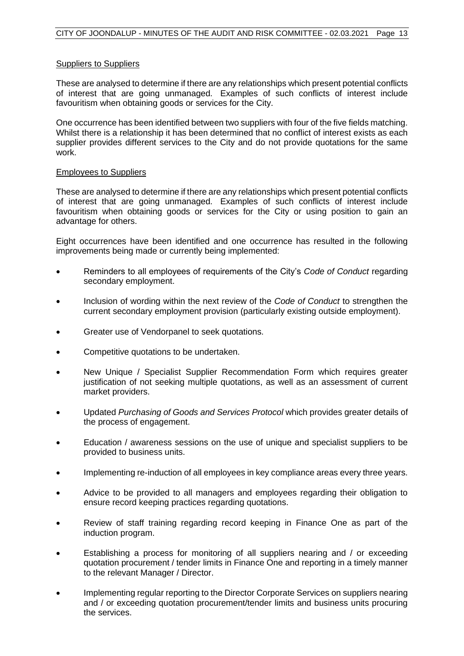#### Suppliers to Suppliers

These are analysed to determine if there are any relationships which present potential conflicts of interest that are going unmanaged. Examples of such conflicts of interest include favouritism when obtaining goods or services for the City.

One occurrence has been identified between two suppliers with four of the five fields matching. Whilst there is a relationship it has been determined that no conflict of interest exists as each supplier provides different services to the City and do not provide quotations for the same work.

#### Employees to Suppliers

These are analysed to determine if there are any relationships which present potential conflicts of interest that are going unmanaged. Examples of such conflicts of interest include favouritism when obtaining goods or services for the City or using position to gain an advantage for others.

Eight occurrences have been identified and one occurrence has resulted in the following improvements being made or currently being implemented:

- Reminders to all employees of requirements of the City's *Code of Conduct* regarding secondary employment.
- Inclusion of wording within the next review of the *Code of Conduct* to strengthen the current secondary employment provision (particularly existing outside employment).
- Greater use of Vendorpanel to seek quotations.
- Competitive quotations to be undertaken.
- New Unique / Specialist Supplier Recommendation Form which requires greater justification of not seeking multiple quotations, as well as an assessment of current market providers.
- Updated *Purchasing of Goods and Services Protocol* which provides greater details of the process of engagement.
- Education / awareness sessions on the use of unique and specialist suppliers to be provided to business units.
- Implementing re-induction of all employees in key compliance areas every three years.
- Advice to be provided to all managers and employees regarding their obligation to ensure record keeping practices regarding quotations.
- Review of staff training regarding record keeping in Finance One as part of the induction program.
- Establishing a process for monitoring of all suppliers nearing and / or exceeding quotation procurement / tender limits in Finance One and reporting in a timely manner to the relevant Manager / Director.
- Implementing regular reporting to the Director Corporate Services on suppliers nearing and / or exceeding quotation procurement/tender limits and business units procuring the services.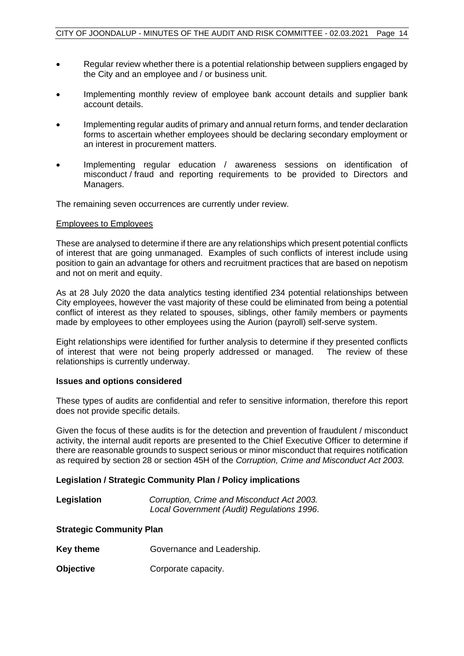- Regular review whether there is a potential relationship between suppliers engaged by the City and an employee and / or business unit.
- Implementing monthly review of employee bank account details and supplier bank account details.
- Implementing regular audits of primary and annual return forms, and tender declaration forms to ascertain whether employees should be declaring secondary employment or an interest in procurement matters.
- Implementing regular education / awareness sessions on identification of misconduct / fraud and reporting requirements to be provided to Directors and Managers.

The remaining seven occurrences are currently under review.

#### Employees to Employees

These are analysed to determine if there are any relationships which present potential conflicts of interest that are going unmanaged. Examples of such conflicts of interest include using position to gain an advantage for others and recruitment practices that are based on nepotism and not on merit and equity.

As at 28 July 2020 the data analytics testing identified 234 potential relationships between City employees, however the vast majority of these could be eliminated from being a potential conflict of interest as they related to spouses, siblings, other family members or payments made by employees to other employees using the Aurion (payroll) self-serve system.

Eight relationships were identified for further analysis to determine if they presented conflicts of interest that were not being properly addressed or managed. The review of these relationships is currently underway.

#### **Issues and options considered**

These types of audits are confidential and refer to sensitive information, therefore this report does not provide specific details.

Given the focus of these audits is for the detection and prevention of fraudulent / misconduct activity, the internal audit reports are presented to the Chief Executive Officer to determine if there are reasonable grounds to suspect serious or minor misconduct that requires notification as required by section 28 or section 45H of the *Corruption, Crime and Misconduct Act 2003.*

#### **Legislation / Strategic Community Plan / Policy implications**

| Legislation | Corruption, Crime and Misconduct Act 2003. |
|-------------|--------------------------------------------|
|             | Local Government (Audit) Regulations 1996. |

#### **Strategic Community Plan**

| Key theme | Governance and Leadership. |
|-----------|----------------------------|
|           |                            |

**Objective Corporate capacity.**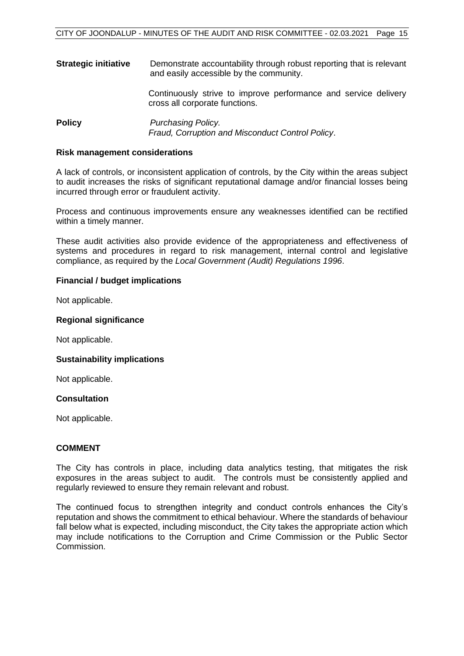**Strategic initiative** Demonstrate accountability through robust reporting that is relevant and easily accessible by the community.

Continuously strive to improve performance and service delivery cross all corporate functions.

**Policy** *Purchasing Policy. Fraud, Corruption and Misconduct Control Policy*.

#### **Risk management considerations**

A lack of controls, or inconsistent application of controls, by the City within the areas subject to audit increases the risks of significant reputational damage and/or financial losses being incurred through error or fraudulent activity.

Process and continuous improvements ensure any weaknesses identified can be rectified within a timely manner.

These audit activities also provide evidence of the appropriateness and effectiveness of systems and procedures in regard to risk management, internal control and legislative compliance, as required by the *Local Government (Audit) Regulations 1996*.

#### **Financial / budget implications**

Not applicable.

#### **Regional significance**

Not applicable.

#### **Sustainability implications**

Not applicable.

#### **Consultation**

Not applicable.

#### **COMMENT**

The City has controls in place, including data analytics testing, that mitigates the risk exposures in the areas subject to audit. The controls must be consistently applied and regularly reviewed to ensure they remain relevant and robust.

The continued focus to strengthen integrity and conduct controls enhances the City's reputation and shows the commitment to ethical behaviour. Where the standards of behaviour fall below what is expected, including misconduct, the City takes the appropriate action which may include notifications to the Corruption and Crime Commission or the Public Sector Commission.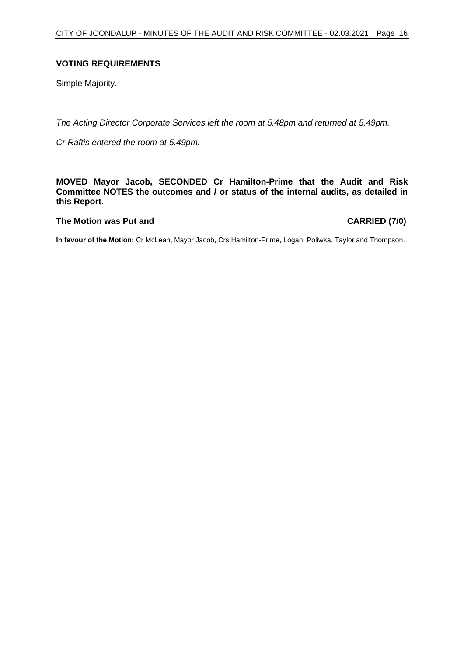#### **VOTING REQUIREMENTS**

Simple Majority.

*The Acting Director Corporate Services left the room at 5.48pm and returned at 5.49pm.*

*Cr Raftis entered the room at 5.49pm.*

#### **MOVED Mayor Jacob, SECONDED Cr Hamilton-Prime that the Audit and Risk Committee NOTES the outcomes and / or status of the internal audits, as detailed in this Report.**

#### **The Motion was Put and CARRIED (7/0)**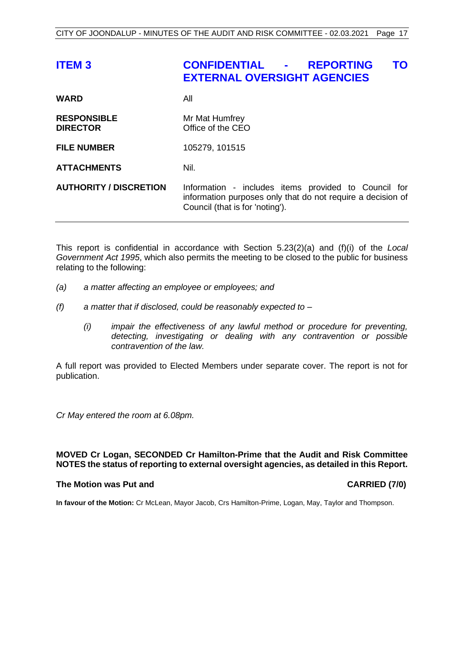# <span id="page-17-0"></span>**ITEM 3 CONFIDENTIAL - REPORTING TO EXTERNAL OVERSIGHT AGENCIES**

| <b>WARD</b>                           | All                                                                                                                                                    |
|---------------------------------------|--------------------------------------------------------------------------------------------------------------------------------------------------------|
| <b>RESPONSIBLE</b><br><b>DIRECTOR</b> | Mr Mat Humfrey<br>Office of the CEO                                                                                                                    |
| <b>FILE NUMBER</b>                    | 105279, 101515                                                                                                                                         |
| <b>ATTACHMENTS</b>                    | Nil.                                                                                                                                                   |
| <b>AUTHORITY / DISCRETION</b>         | Information - includes items provided to Council for<br>information purposes only that do not require a decision of<br>Council (that is for 'noting'). |

This report is confidential in accordance with Section 5.23(2)(a) and (f)(i) of the *Local Government Act 1995*, which also permits the meeting to be closed to the public for business relating to the following:

- *(a) a matter affecting an employee or employees; and*
- *(f) a matter that if disclosed, could be reasonably expected to –*
	- *(i) impair the effectiveness of any lawful method or procedure for preventing, detecting, investigating or dealing with any contravention or possible contravention of the law.*

A full report was provided to Elected Members under separate cover. The report is not for publication.

*Cr May entered the room at 6.08pm.*

#### **MOVED Cr Logan, SECONDED Cr Hamilton-Prime that the Audit and Risk Committee NOTES the status of reporting to external oversight agencies, as detailed in this Report.**

#### **The Motion was Put and CARRIED (7/0)**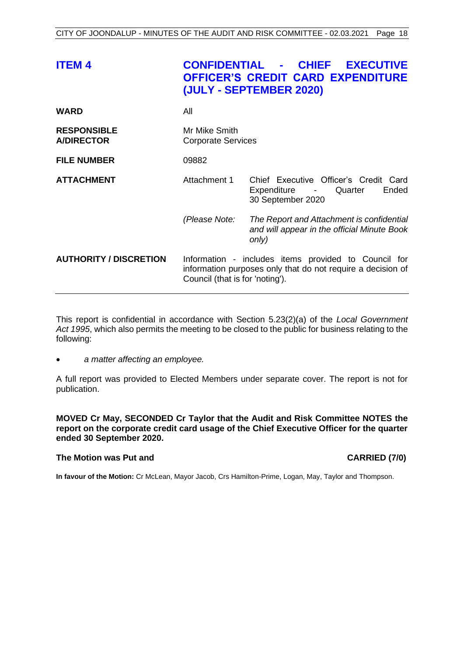<span id="page-18-0"></span>

| <b>ITEM4</b>                            |                                            | <b>CONFIDENTIAL - CHIEF EXECUTIVE</b><br><b>OFFICER'S CREDIT CARD EXPENDITURE</b><br>(JULY - SEPTEMBER 2020)        |  |
|-----------------------------------------|--------------------------------------------|---------------------------------------------------------------------------------------------------------------------|--|
| <b>WARD</b>                             | All                                        |                                                                                                                     |  |
| <b>RESPONSIBLE</b><br><b>A/DIRECTOR</b> | Mr Mike Smith<br><b>Corporate Services</b> |                                                                                                                     |  |
| <b>FILE NUMBER</b>                      | 09882                                      |                                                                                                                     |  |
| <b>ATTACHMENT</b>                       | Attachment 1                               | Chief Executive Officer's Credit Card<br>Expenditure -<br>Quarter<br>Ended<br>30 September 2020                     |  |
|                                         | (Please Note:                              | The Report and Attachment is confidential<br>and will appear in the official Minute Book<br>only)                   |  |
| <b>AUTHORITY / DISCRETION</b>           | Council (that is for 'noting').            | Information - includes items provided to Council for<br>information purposes only that do not require a decision of |  |

This report is confidential in accordance with Section 5.23(2)(a) of the *Local Government Act 1995*, which also permits the meeting to be closed to the public for business relating to the following:

• *a matter affecting an employee.*

A full report was provided to Elected Members under separate cover. The report is not for publication.

**MOVED Cr May, SECONDED Cr Taylor that the Audit and Risk Committee NOTES the report on the corporate credit card usage of the Chief Executive Officer for the quarter ended 30 September 2020.**

#### **The Motion was Put and CARRIED (7/0)**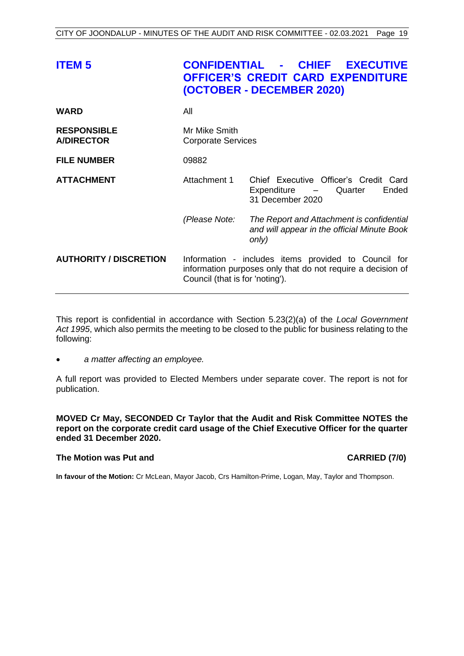<span id="page-19-0"></span>

| <b>ITEM 5</b>                           |                                                                                                                                                        | <b>CONFIDENTIAL - CHIEF EXECUTIVE</b><br><b>OFFICER'S CREDIT CARD EXPENDITURE</b><br>(OCTOBER - DECEMBER 2020) |  |
|-----------------------------------------|--------------------------------------------------------------------------------------------------------------------------------------------------------|----------------------------------------------------------------------------------------------------------------|--|
| <b>WARD</b>                             | All                                                                                                                                                    |                                                                                                                |  |
| <b>RESPONSIBLE</b><br><b>A/DIRECTOR</b> | Mr Mike Smith<br><b>Corporate Services</b>                                                                                                             |                                                                                                                |  |
| <b>FILE NUMBER</b>                      | 09882                                                                                                                                                  |                                                                                                                |  |
| <b>ATTACHMENT</b>                       | Attachment 1                                                                                                                                           | Chief Executive Officer's Credit Card<br>Expenditure –<br>Quarter<br>Ended<br>31 December 2020                 |  |
|                                         | (Please Note:                                                                                                                                          | The Report and Attachment is confidential<br>and will appear in the official Minute Book<br>only)              |  |
| <b>AUTHORITY / DISCRETION</b>           | Information - includes items provided to Council for<br>information purposes only that do not require a decision of<br>Council (that is for 'noting'). |                                                                                                                |  |

This report is confidential in accordance with Section 5.23(2)(a) of the *Local Government Act 1995*, which also permits the meeting to be closed to the public for business relating to the following:

• *a matter affecting an employee.*

A full report was provided to Elected Members under separate cover. The report is not for publication.

**MOVED Cr May, SECONDED Cr Taylor that the Audit and Risk Committee NOTES the report on the corporate credit card usage of the Chief Executive Officer for the quarter ended 31 December 2020.**

#### **The Motion was Put and CARRIED (7/0)**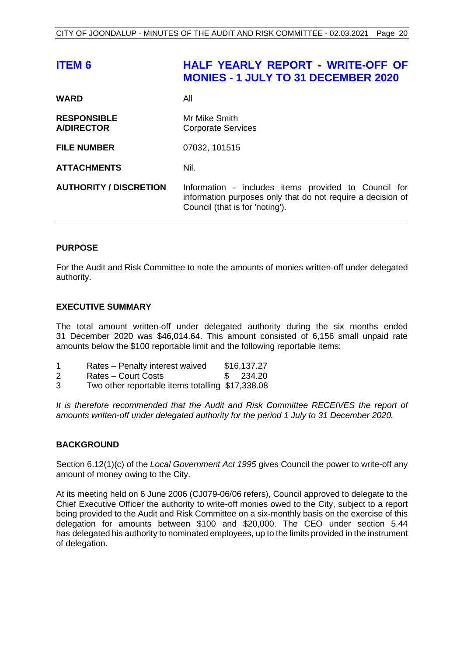# <span id="page-20-0"></span>**ITEM 6 HALF YEARLY REPORT - WRITE-OFF OF MONIES - 1 JULY TO 31 DECEMBER 2020**

| <b>WARD</b>                             | All                                                                                                                                                    |
|-----------------------------------------|--------------------------------------------------------------------------------------------------------------------------------------------------------|
| <b>RESPONSIBLE</b><br><b>A/DIRECTOR</b> | Mr Mike Smith<br><b>Corporate Services</b>                                                                                                             |
| <b>FILE NUMBER</b>                      | 07032, 101515                                                                                                                                          |
| <b>ATTACHMENTS</b>                      | Nil.                                                                                                                                                   |
| <b>AUTHORITY / DISCRETION</b>           | Information - includes items provided to Council for<br>information purposes only that do not require a decision of<br>Council (that is for 'noting'). |

#### **PURPOSE**

For the Audit and Risk Committee to note the amounts of monies written-off under delegated authority.

#### **EXECUTIVE SUMMARY**

The total amount written-off under delegated authority during the six months ended 31 December 2020 was \$46,014.64. This amount consisted of 6,156 small unpaid rate amounts below the \$100 reportable limit and the following reportable items:

|   | Rates - Penalty interest waived | \$16,137.27 |
|---|---------------------------------|-------------|
| 2 | Rates – Court Costs             | 234.20      |

3 Two other reportable items totalling \$17,338.08

*It is therefore recommended that the Audit and Risk Committee RECEIVES the report of amounts written-off under delegated authority for the period 1 July to 31 December 2020.*

#### **BACKGROUND**

Section 6.12(1)(c) of the *Local Government Act 1995* gives Council the power to write-off any amount of money owing to the City.

At its meeting held on 6 June 2006 (CJ079-06/06 refers), Council approved to delegate to the Chief Executive Officer the authority to write-off monies owed to the City, subject to a report being provided to the Audit and Risk Committee on a six-monthly basis on the exercise of this delegation for amounts between \$100 and \$20,000. The CEO under section 5.44 has delegated his authority to nominated employees, up to the limits provided in the instrument of delegation.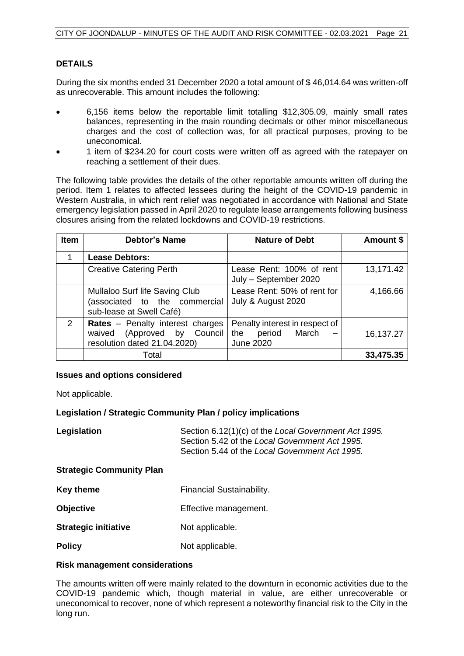## **DETAILS**

During the six months ended 31 December 2020 a total amount of \$ 46,014.64 was written-off as unrecoverable. This amount includes the following:

- 6,156 items below the reportable limit totalling \$12,305.09, mainly small rates balances, representing in the main rounding decimals or other minor miscellaneous charges and the cost of collection was, for all practical purposes, proving to be uneconomical.
- 1 item of \$234.20 for court costs were written off as agreed with the ratepayer on reaching a settlement of their dues.

The following table provides the details of the other reportable amounts written off during the period. Item 1 relates to affected lessees during the height of the COVID-19 pandemic in Western Australia, in which rent relief was negotiated in accordance with National and State emergency legislation passed in April 2020 to regulate lease arrangements following business closures arising from the related lockdowns and COVID-19 restrictions.

| <b>Item</b> | <b>Debtor's Name</b>                                                                            | <b>Nature of Debt</b>                                                        | Amount \$ |
|-------------|-------------------------------------------------------------------------------------------------|------------------------------------------------------------------------------|-----------|
|             | <b>Lease Debtors:</b>                                                                           |                                                                              |           |
|             | <b>Creative Catering Perth</b>                                                                  | Lease Rent: 100% of rent<br>July - September 2020                            | 13,171.42 |
|             | Mullaloo Surf life Saving Club<br>(associated to the commercial<br>sub-lease at Swell Café)     | Lease Rent: 50% of rent for<br>July & August 2020                            | 4,166.66  |
| 2           | Rates - Penalty interest charges<br>waived (Approved by Council<br>resolution dated 21.04.2020) | Penalty interest in respect of<br>March<br>period<br>the<br><b>June 2020</b> | 16,137.27 |
|             | Total                                                                                           |                                                                              | 33,475.35 |

#### **Issues and options considered**

Not applicable.

#### **Legislation / Strategic Community Plan / policy implications**

| Legislation                     | Section 6.12(1)(c) of the Local Government Act 1995.<br>Section 5.42 of the Local Government Act 1995.<br>Section 5.44 of the Local Government Act 1995. |
|---------------------------------|----------------------------------------------------------------------------------------------------------------------------------------------------------|
| <b>Strategic Community Plan</b> |                                                                                                                                                          |
| Key theme                       | Financial Sustainability.                                                                                                                                |
| <b>Objective</b>                | Effective management.                                                                                                                                    |
| <b>Strategic initiative</b>     | Not applicable.                                                                                                                                          |
| <b>Policy</b>                   | Not applicable.                                                                                                                                          |

#### **Risk management considerations**

The amounts written off were mainly related to the downturn in economic activities due to the COVID-19 pandemic which, though material in value, are either unrecoverable or uneconomical to recover, none of which represent a noteworthy financial risk to the City in the long run.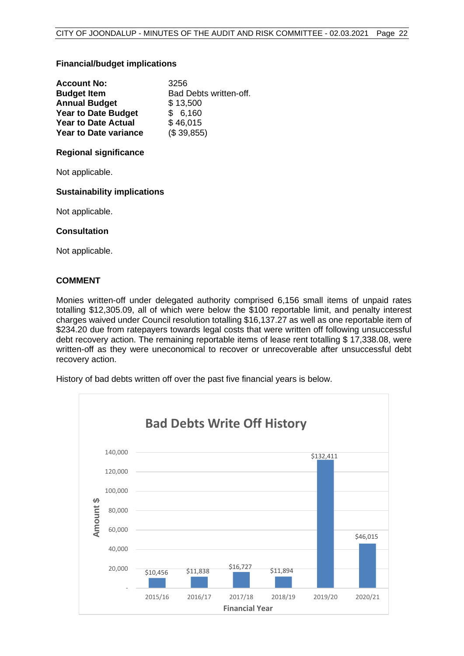#### **Financial/budget implications**

| <b>Account No:</b>           | 3256                   |
|------------------------------|------------------------|
| <b>Budget Item</b>           | Bad Debts written-off. |
| <b>Annual Budget</b>         | \$13,500               |
| <b>Year to Date Budget</b>   | \$6,160                |
| <b>Year to Date Actual</b>   | \$46,015               |
| <b>Year to Date variance</b> | (\$39,855)             |

#### **Regional significance**

Not applicable.

#### **Sustainability implications**

Not applicable.

#### **Consultation**

Not applicable.

#### **COMMENT**

Monies written-off under delegated authority comprised 6,156 small items of unpaid rates totalling \$12,305.09, all of which were below the \$100 reportable limit, and penalty interest charges waived under Council resolution totalling \$16,137.27 as well as one reportable item of \$234.20 due from ratepayers towards legal costs that were written off following unsuccessful debt recovery action. The remaining reportable items of lease rent totalling \$ 17,338.08, were written-off as they were uneconomical to recover or unrecoverable after unsuccessful debt recovery action.

History of bad debts written off over the past five financial years is below.

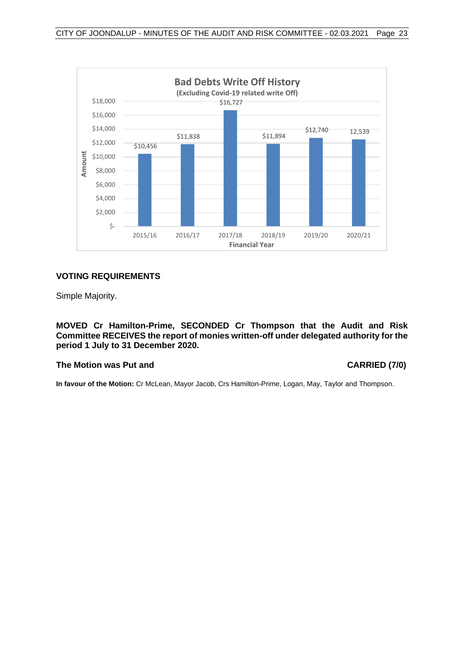

#### **VOTING REQUIREMENTS**

Simple Majority.

**MOVED Cr Hamilton-Prime, SECONDED Cr Thompson that the Audit and Risk Committee RECEIVES the report of monies written-off under delegated authority for the period 1 July to 31 December 2020.**

#### **The Motion was Put and CARRIED (7/0)**